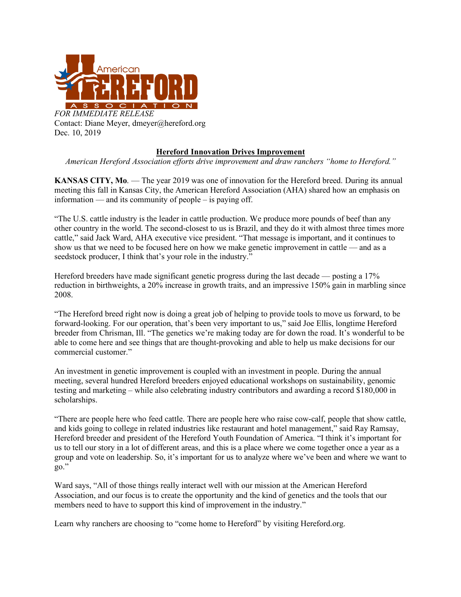

Dec. 10, 2019

## **Hereford Innovation Drives Improvement**

*American Hereford Association efforts drive improvement and draw ranchers "home to Hereford."* 

**KANSAS CITY, Mo**. — The year 2019 was one of innovation for the Hereford breed. During its annual meeting this fall in Kansas City, the American Hereford Association (AHA) shared how an emphasis on information — and its community of people – is paying off.

"The U.S. cattle industry is the leader in cattle production. We produce more pounds of beef than any other country in the world. The second-closest to us is Brazil, and they do it with almost three times more cattle," said Jack Ward, AHA executive vice president. "That message is important, and it continues to show us that we need to be focused here on how we make genetic improvement in cattle — and as a seedstock producer, I think that's your role in the industry."

Hereford breeders have made significant genetic progress during the last decade — posting a 17% reduction in birthweights, a 20% increase in growth traits, and an impressive 150% gain in marbling since 2008.

"The Hereford breed right now is doing a great job of helping to provide tools to move us forward, to be forward-looking. For our operation, that's been very important to us," said Joe Ellis, longtime Hereford breeder from Chrisman, Ill. "The genetics we're making today are for down the road. It's wonderful to be able to come here and see things that are thought-provoking and able to help us make decisions for our commercial customer."

An investment in genetic improvement is coupled with an investment in people. During the annual meeting, several hundred Hereford breeders enjoyed educational workshops on sustainability, genomic testing and marketing – while also celebrating industry contributors and awarding a record \$180,000 in scholarships.

"There are people here who feed cattle. There are people here who raise cow-calf, people that show cattle, and kids going to college in related industries like restaurant and hotel management," said Ray Ramsay, Hereford breeder and president of the Hereford Youth Foundation of America. "I think it's important for us to tell our story in a lot of different areas, and this is a place where we come together once a year as a group and vote on leadership. So, it's important for us to analyze where we've been and where we want to go."

Ward says, "All of those things really interact well with our mission at the American Hereford Association, and our focus is to create the opportunity and the kind of genetics and the tools that our members need to have to support this kind of improvement in the industry."

Learn why ranchers are choosing to "come home to Hereford" by visiting Hereford.org.